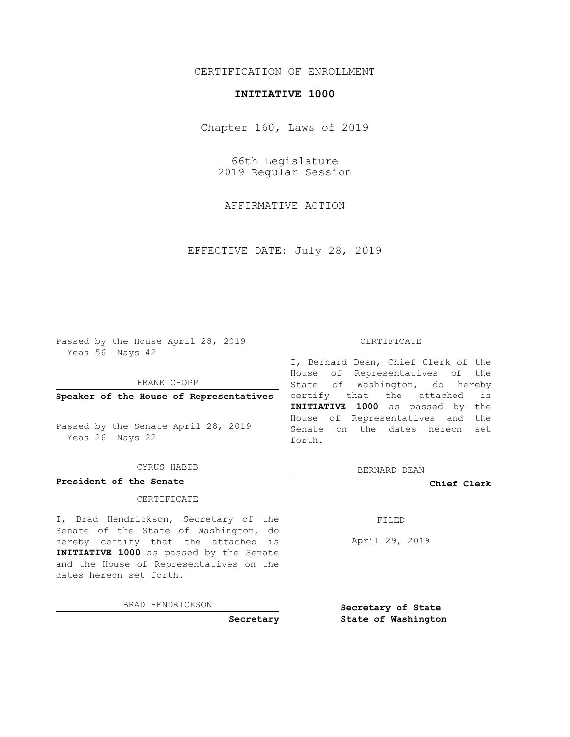# CERTIFICATION OF ENROLLMENT

## **INITIATIVE 1000**

Chapter 160, Laws of 2019

66th Legislature 2019 Regular Session

AFFIRMATIVE ACTION

EFFECTIVE DATE: July 28, 2019

Passed by the House April 28, 2019 Yeas 56 Nays 42

### FRANK CHOPP

Passed by the Senate April 28, 2019 Yeas 26 Nays 22

### CYRUS HABIB

# **President of the Senate**

### CERTIFICATE

I, Brad Hendrickson, Secretary of the Senate of the State of Washington, do hereby certify that the attached is **INITIATIVE 1000** as passed by the Senate and the House of Representatives on the dates hereon set forth.

BRAD HENDRICKSON

**Secretary**

### CERTIFICATE

**Speaker of the House of Representatives** certify that the attached is I, Bernard Dean, Chief Clerk of the House of Representatives of the State of Washington, do hereby **INITIATIVE 1000** as passed by the House of Representatives and the Senate on the dates hereon set forth.

BERNARD DEAN

**Chief Clerk**

FILED

April 29, 2019

**Secretary of State State of Washington**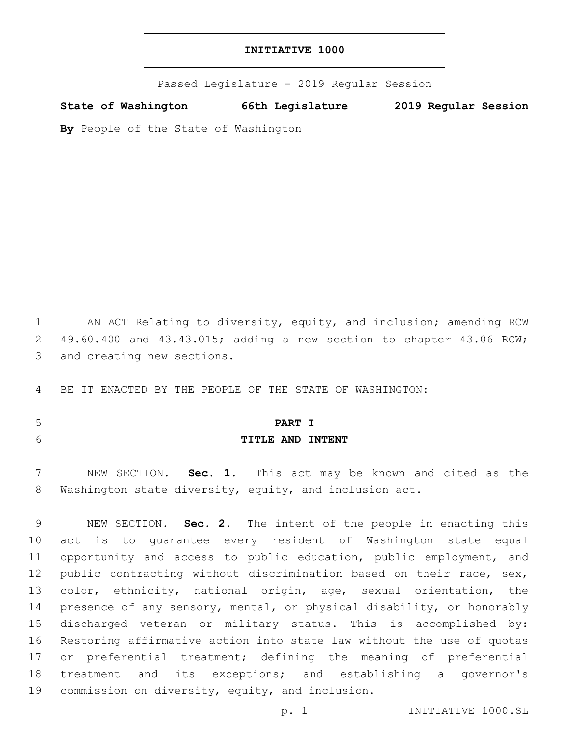| INITIATIVE 1000 |  |
|-----------------|--|
|-----------------|--|

Passed Legislature - 2019 Regular Session

**State of Washington 66th Legislature 2019 Regular Session**

**By** People of the State of Washington

 AN ACT Relating to diversity, equity, and inclusion; amending RCW 49.60.400 and 43.43.015; adding a new section to chapter 43.06 RCW; 3 and creating new sections. BE IT ENACTED BY THE PEOPLE OF THE STATE OF WASHINGTON:

 **PART I TITLE AND INTENT**

 NEW SECTION. **Sec. 1.** This act may be known and cited as the Washington state diversity, equity, and inclusion act.

 NEW SECTION. **Sec. 2.** The intent of the people in enacting this act is to guarantee every resident of Washington state equal opportunity and access to public education, public employment, and 12 public contracting without discrimination based on their race, sex, color, ethnicity, national origin, age, sexual orientation, the presence of any sensory, mental, or physical disability, or honorably discharged veteran or military status. This is accomplished by: Restoring affirmative action into state law without the use of quotas or preferential treatment; defining the meaning of preferential treatment and its exceptions; and establishing a governor's commission on diversity, equity, and inclusion.

p. 1 INITIATIVE 1000.SL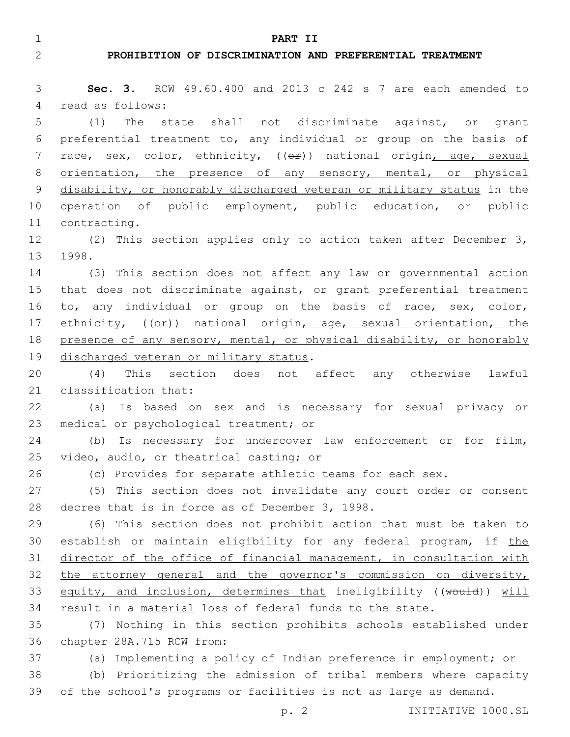1 **PART II**

## 2 **PROHIBITION OF DISCRIMINATION AND PREFERENTIAL TREATMENT**

3 **Sec. 3.** RCW 49.60.400 and 2013 c 242 s 7 are each amended to 4 read as follows:

5 (1) The state shall not discriminate against, or grant 6 preferential treatment to, any individual or group on the basis of 7 race, sex, color, ethnicity, (( $\Theta$ r)) national origin, age, sexual 8 orientation, the presence of any sensory, mental, or physical 9 disability, or honorably discharged veteran or military status in the 10 operation of public employment, public education, or public 11 contracting.

12 (2) This section applies only to action taken after December 3, 13 1998.

14 (3) This section does not affect any law or governmental action 15 that does not discriminate against, or grant preferential treatment 16 to, any individual or group on the basis of race, sex, color, 17 ethnicity, (( $\Theta$ ) national origin, age, sexual orientation, the 18 presence of any sensory, mental, or physical disability, or honorably 19 discharged veteran or military status.

20 (4) This section does not affect any otherwise lawful 21 classification that:

22 (a) Is based on sex and is necessary for sexual privacy or 23 medical or psychological treatment; or

24 (b) Is necessary for undercover law enforcement or for film, 25 video, audio, or theatrical casting; or

26 (c) Provides for separate athletic teams for each sex.

27 (5) This section does not invalidate any court order or consent 28 decree that is in force as of December 3, 1998.

29 (6) This section does not prohibit action that must be taken to 30 establish or maintain eligibility for any federal program, if the 31 director of the office of financial management, in consultation with 32 the attorney general and the governor's commission on diversity, 33 equity, and inclusion, determines that ineligibility ((would)) will 34 result in a material loss of federal funds to the state.

35 (7) Nothing in this section prohibits schools established under 36 chapter 28A.715 RCW from:

37 (a) Implementing a policy of Indian preference in employment; or

38 (b) Prioritizing the admission of tribal members where capacity 39 of the school's programs or facilities is not as large as demand.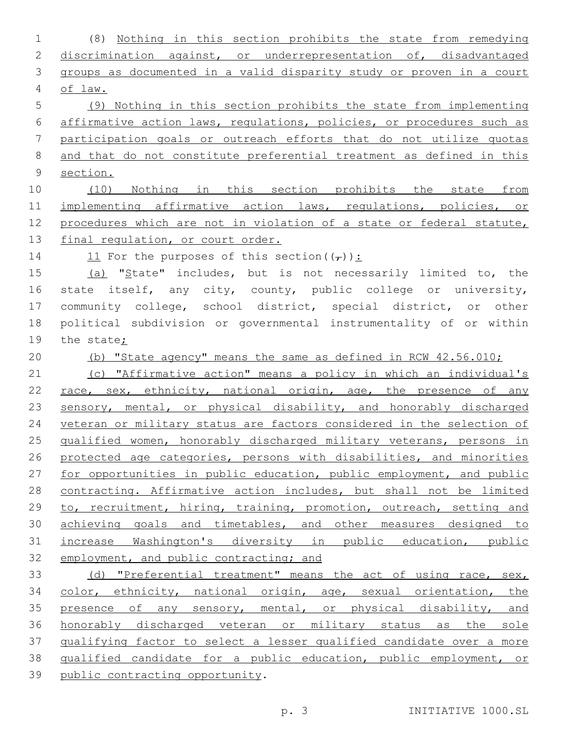(8) Nothing in this section prohibits the state from remedying 2 discrimination against, or underrepresentation of, disadvantaged groups as documented in a valid disparity study or proven in a court of law. (9) Nothing in this section prohibits the state from implementing affirmative action laws, regulations, policies, or procedures such as participation goals or outreach efforts that do not utilize quotas and that do not constitute preferential treatment as defined in this section. (10) Nothing in this section prohibits the state from 11 implementing affirmative action laws, regulations, policies, or procedures which are not in violation of a state or federal statute, 13 final regulation, or court order. 14 11 For the purposes of this section  $((\tau))$ : (a) "State" includes, but is not necessarily limited to, the state itself, any city, county, public college or university, community college, school district, special district, or other political subdivision or governmental instrumentality of or within the state; (b) "State agency" means the same as defined in RCW 42.56.010; (c) "Affirmative action" means a policy in which an individual's 22 race, sex, ethnicity, national origin, age, the presence of any 23 sensory, mental, or physical disability, and honorably discharged veteran or military status are factors considered in the selection of 25 qualified women, honorably discharged military veterans, persons in protected age categories, persons with disabilities, and minorities for opportunities in public education, public employment, and public contracting. Affirmative action includes, but shall not be limited to, recruitment, hiring, training, promotion, outreach, setting and achieving goals and timetables, and other measures designed to increase Washington's diversity in public education, public 32 employment, and public contracting; and 33 (d) "Preferential treatment" means the act of using race, sex, color, ethnicity, national origin, age, sexual orientation, the presence of any sensory, mental, or physical disability, and honorably discharged veteran or military status as the sole qualifying factor to select a lesser qualified candidate over a more qualified candidate for a public education, public employment, or 39 public contracting opportunity. p. 3 INITIATIVE 1000.SL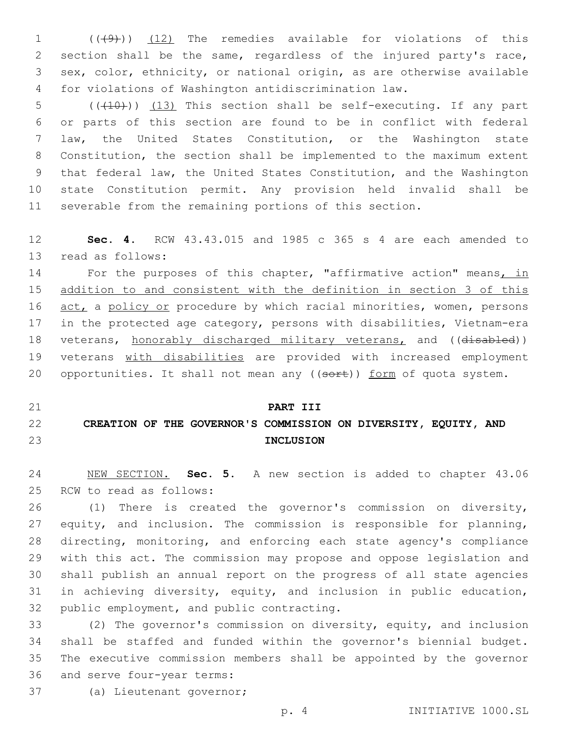1 (( $(49)$ )) (12) The remedies available for violations of this section shall be the same, regardless of the injured party's race, sex, color, ethnicity, or national origin, as are otherwise available for violations of Washington antidiscrimination law.

 $((+10))$   $(13)$  This section shall be self-executing. If any part or parts of this section are found to be in conflict with federal law, the United States Constitution, or the Washington state Constitution, the section shall be implemented to the maximum extent that federal law, the United States Constitution, and the Washington state Constitution permit. Any provision held invalid shall be severable from the remaining portions of this section.

 **Sec. 4.** RCW 43.43.015 and 1985 c 365 s 4 are each amended to 13 read as follows:

14 For the purposes of this chapter, "affirmative action" means, in addition to and consistent with the definition in section 3 of this 16 act, a policy or procedure by which racial minorities, women, persons in the protected age category, persons with disabilities, Vietnam-era 18 veterans, honorably discharged military veterans, and ((disabled)) 19 veterans with disabilities are provided with increased employment 20 opportunities. It shall not mean any ((sort)) form of quota system.

# **PART III CREATION OF THE GOVERNOR'S COMMISSION ON DIVERSITY, EQUITY, AND INCLUSION**

 NEW SECTION. **Sec. 5.** A new section is added to chapter 43.06 25 RCW to read as follows:

 (1) There is created the governor's commission on diversity, equity, and inclusion. The commission is responsible for planning, directing, monitoring, and enforcing each state agency's compliance with this act. The commission may propose and oppose legislation and shall publish an annual report on the progress of all state agencies in achieving diversity, equity, and inclusion in public education, 32 public employment, and public contracting.

 (2) The governor's commission on diversity, equity, and inclusion shall be staffed and funded within the governor's biennial budget. The executive commission members shall be appointed by the governor 36 and serve four-year terms:

37 (a) Lieutenant governor;

p. 4 INITIATIVE 1000.SL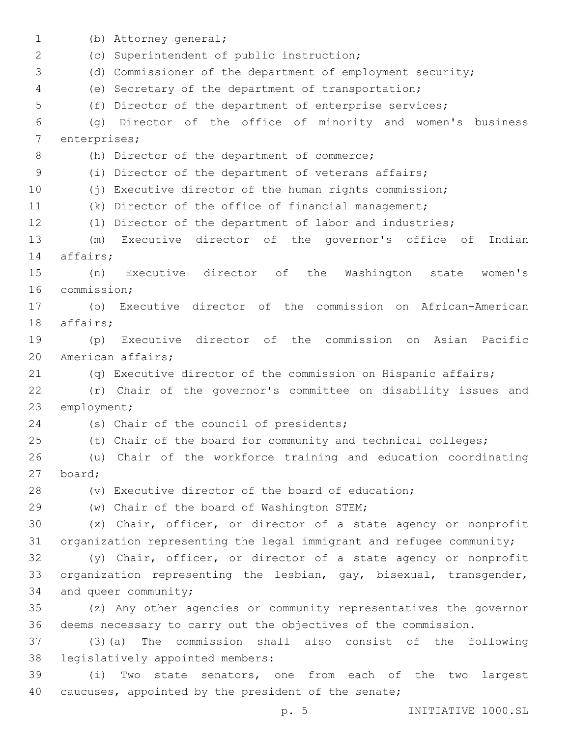1 (b) Attorney general; (c) Superintendent of public instruction;2 (d) Commissioner of the department of employment security; (e) Secretary of the department of transportation; (f) Director of the department of enterprise services; (g) Director of the office of minority and women's business 7 enterprises; 8 (h) Director of the department of commerce; (i) Director of the department of veterans affairs; (j) Executive director of the human rights commission; (k) Director of the office of financial management; (l) Director of the department of labor and industries; (m) Executive director of the governor's office of Indian 14 affairs; (n) Executive director of the Washington state women's 16 commission; (o) Executive director of the commission on African-American 18 affairs; (p) Executive director of the commission on Asian Pacific 20 American affairs; (q) Executive director of the commission on Hispanic affairs; (r) Chair of the governor's committee on disability issues and 23 employment; 24 (s) Chair of the council of presidents; (t) Chair of the board for community and technical colleges; (u) Chair of the workforce training and education coordinating board;27 (v) Executive director of the board of education; (w) Chair of the board of Washington STEM;29 (x) Chair, officer, or director of a state agency or nonprofit organization representing the legal immigrant and refugee community; (y) Chair, officer, or director of a state agency or nonprofit organization representing the lesbian, gay, bisexual, transgender, 34 and queer community; (z) Any other agencies or community representatives the governor deems necessary to carry out the objectives of the commission. (3)(a) The commission shall also consist of the following 38 legislatively appointed members: (i) Two state senators, one from each of the two largest caucuses, appointed by the president of the senate;

p. 5 INITIATIVE 1000.SL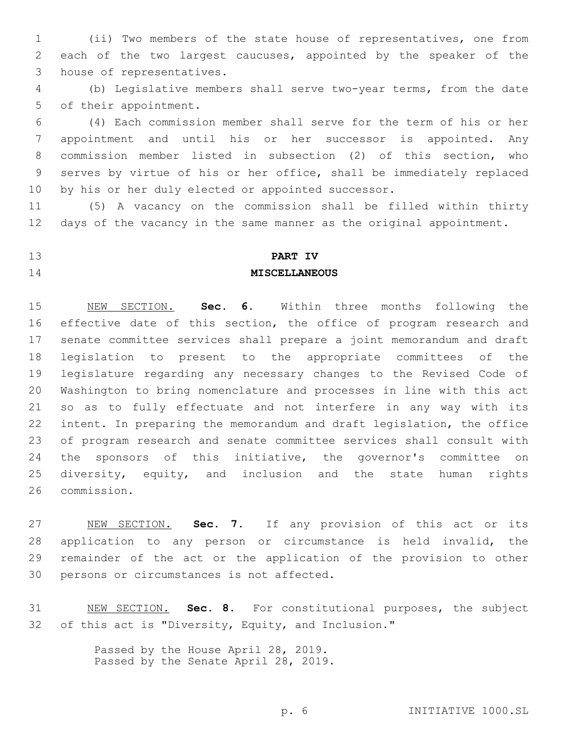(ii) Two members of the state house of representatives, one from each of the two largest caucuses, appointed by the speaker of the 3 house of representatives.

 (b) Legislative members shall serve two-year terms, from the date 5 of their appointment.

 (4) Each commission member shall serve for the term of his or her appointment and until his or her successor is appointed. Any commission member listed in subsection (2) of this section, who serves by virtue of his or her office, shall be immediately replaced by his or her duly elected or appointed successor.

 (5) A vacancy on the commission shall be filled within thirty days of the vacancy in the same manner as the original appointment.

# **PART IV MISCELLANEOUS**

 NEW SECTION. **Sec. 6.** Within three months following the 16 effective date of this section, the office of program research and senate committee services shall prepare a joint memorandum and draft legislation to present to the appropriate committees of the legislature regarding any necessary changes to the Revised Code of Washington to bring nomenclature and processes in line with this act so as to fully effectuate and not interfere in any way with its intent. In preparing the memorandum and draft legislation, the office of program research and senate committee services shall consult with the sponsors of this initiative, the governor's committee on diversity, equity, and inclusion and the state human rights commission.

 NEW SECTION. **Sec. 7.** If any provision of this act or its application to any person or circumstance is held invalid, the remainder of the act or the application of the provision to other persons or circumstances is not affected.

 NEW SECTION. **Sec. 8.** For constitutional purposes, the subject of this act is "Diversity, Equity, and Inclusion."

> Passed by the House April 28, 2019. Passed by the Senate April 28, 2019.